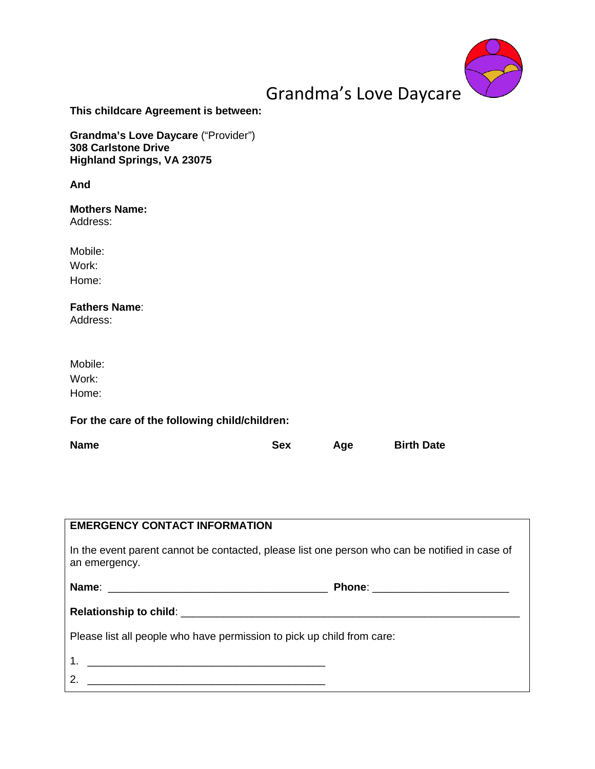

# Grandma's Love Daycare

**This childcare Agreement is between:**

**Grandma's Love Daycare** ("Provider") **308 Carlstone Drive Highland Springs, VA 23075**

**And**

# **Mothers Name:**

Address:

Mobile: Work: Home:

**Fathers Name**:

Address:

| Mobile: |  |
|---------|--|
| Work:   |  |
| Home:   |  |

# **For the care of the following child/children:**

| <b>Name</b> | Sex | Age | <b>Birth Date</b> |
|-------------|-----|-----|-------------------|
|             |     |     |                   |

| <b>EMERGENCY CONTACT INFORMATION</b>                                                                            |                                     |
|-----------------------------------------------------------------------------------------------------------------|-------------------------------------|
| In the event parent cannot be contacted, please list one person who can be notified in case of<br>an emergency. |                                     |
|                                                                                                                 | Phone: ____________________________ |
|                                                                                                                 |                                     |
| Please list all people who have permission to pick up child from care:                                          |                                     |
|                                                                                                                 |                                     |
| $\mathcal{P}_{\mathcal{C}}$<br><u> 1980 - Jan James James Barnett, fransk politik (d. 1980)</u>                 |                                     |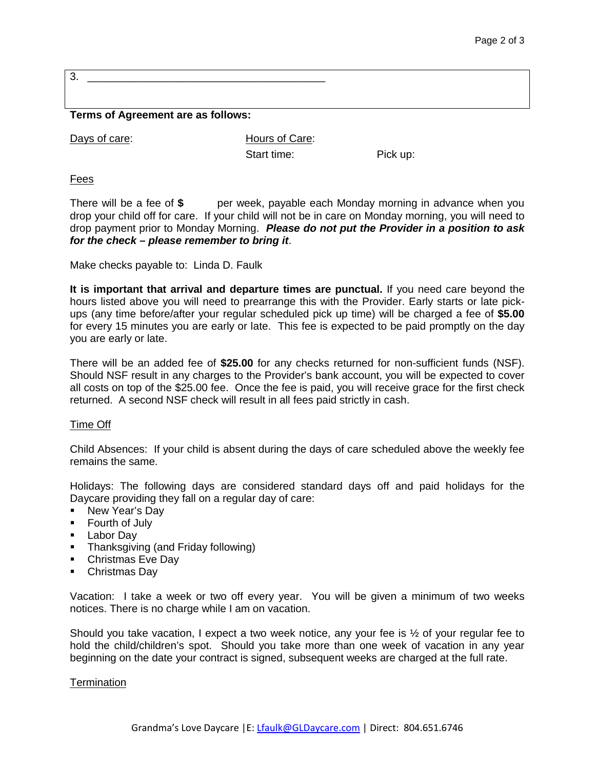3. \_\_\_\_\_\_\_\_\_\_\_\_\_\_\_\_\_\_\_\_\_\_\_\_\_\_\_\_\_\_\_\_\_\_\_\_\_\_\_\_

## **Terms of Agreement are as follows:**

Days of care: Belleville Mours of Care:

Start time: Pick up:

Fees

There will be a fee of \$ per week, payable each Monday morning in advance when you drop your child off for care. If your child will not be in care on Monday morning, you will need to drop payment prior to Monday Morning. *Please do not put the Provider in a position to ask for the check – please remember to bring it*.

Make checks payable to: Linda D. Faulk

**It is important that arrival and departure times are punctual.** If you need care beyond the hours listed above you will need to prearrange this with the Provider. Early starts or late pickups (any time before/after your regular scheduled pick up time) will be charged a fee of **\$5.00** for every 15 minutes you are early or late. This fee is expected to be paid promptly on the day you are early or late.

There will be an added fee of **\$25.00** for any checks returned for non-sufficient funds (NSF). Should NSF result in any charges to the Provider's bank account, you will be expected to cover all costs on top of the \$25.00 fee. Once the fee is paid, you will receive grace for the first check returned. A second NSF check will result in all fees paid strictly in cash.

## Time Off

Child Absences: If your child is absent during the days of care scheduled above the weekly fee remains the same.

Holidays: The following days are considered standard days off and paid holidays for the Daycare providing they fall on a regular day of care:

- New Year's Day
- **Fourth of July**
- **Labor Dav**
- **Thanksgiving (and Friday following)**
- **Christmas Eve Day**
- **Christmas Day**

Vacation: I take a week or two off every year. You will be given a minimum of two weeks notices. There is no charge while I am on vacation.

Should you take vacation, I expect a two week notice, any your fee is  $\frac{1}{2}$  of your regular fee to hold the child/children's spot. Should you take more than one week of vacation in any year beginning on the date your contract is signed, subsequent weeks are charged at the full rate.

## **Termination**